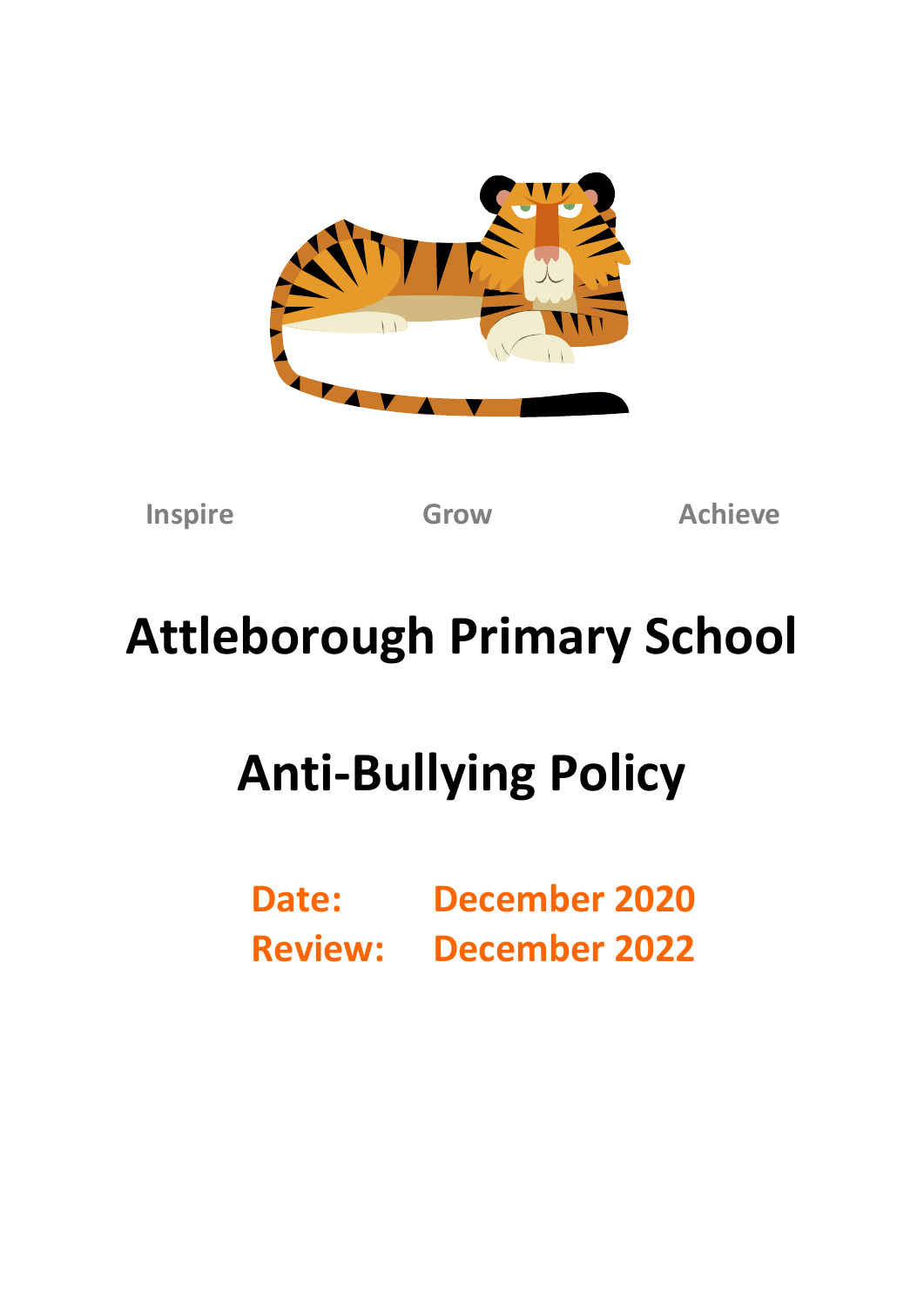

**Inspire Grow Achieve**

# **Attleborough Primary School**

# **Anti-Bullying Policy**

**Date: December 2020 Review: December 2022**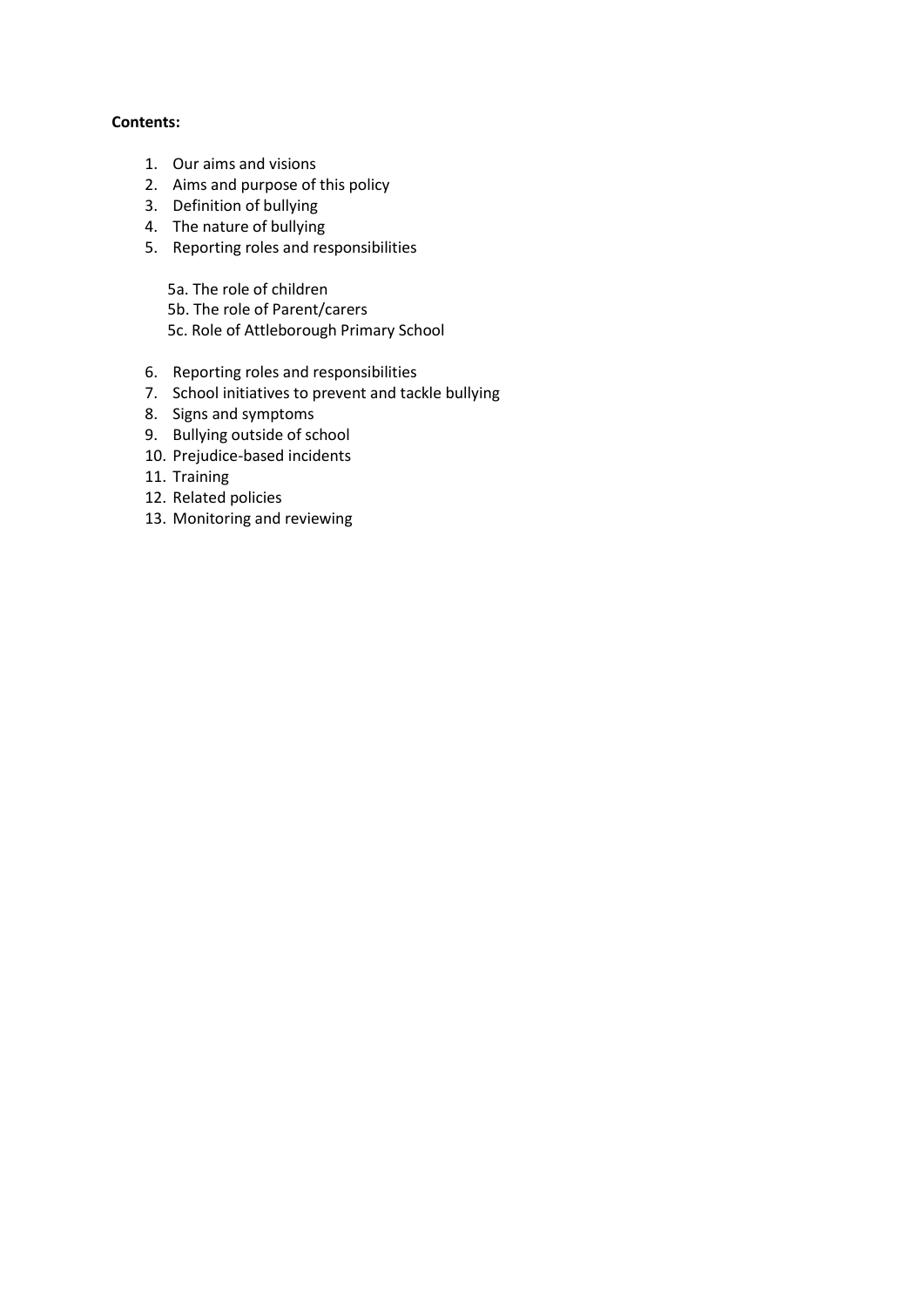#### **Contents:**

- 1. Our aims and visions
- 2. Aims and purpose of this policy
- 3. Definition of bullying
- 4. The nature of bullying
- 5. Reporting roles and responsibilities

5a. The role of children 5b. The role of Parent/carers 5c. Role of Attleborough Primary School

- 6. Reporting roles and responsibilities
- 7. School initiatives to prevent and tackle bullying
- 8. Signs and symptoms
- 9. Bullying outside of school
- 10. Prejudice-based incidents
- 11. Training
- 12. Related policies
- 13. Monitoring and reviewing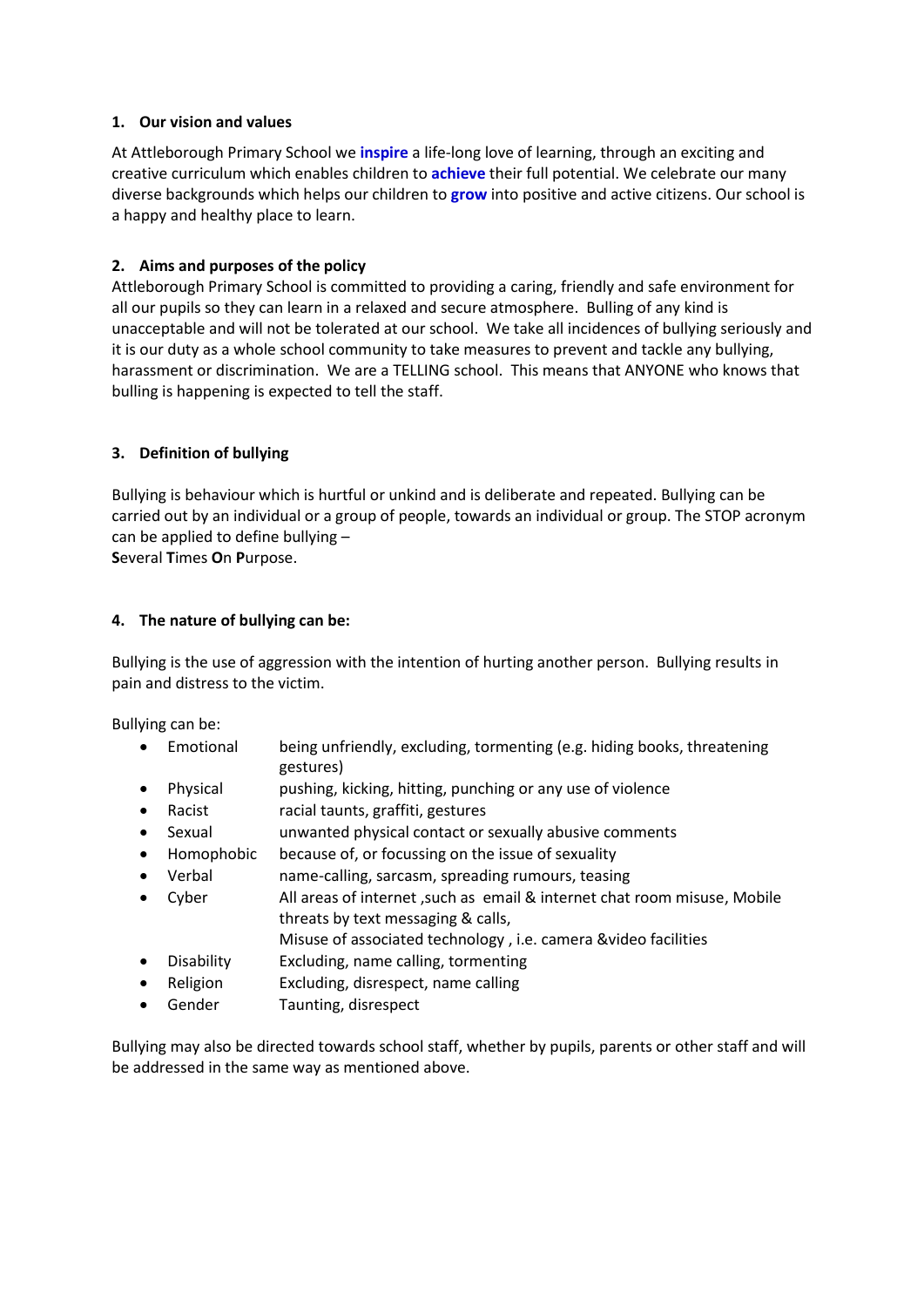## **1. Our vision and values**

At Attleborough Primary School we **inspire** a life-long love of learning, through an exciting and creative curriculum which enables children to **achieve** their full potential. We celebrate our many diverse backgrounds which helps our children to **grow** into positive and active citizens. Our school is a happy and healthy place to learn.

## **2. Aims and purposes of the policy**

Attleborough Primary School is committed to providing a caring, friendly and safe environment for all our pupils so they can learn in a relaxed and secure atmosphere. Bulling of any kind is unacceptable and will not be tolerated at our school. We take all incidences of bullying seriously and it is our duty as a whole school community to take measures to prevent and tackle any bullying, harassment or discrimination. We are a TELLING school. This means that ANYONE who knows that bulling is happening is expected to tell the staff.

# **3. Definition of bullying**

Bullying is behaviour which is hurtful or unkind and is deliberate and repeated. Bullying can be carried out by an individual or a group of people, towards an individual or group. The STOP acronym can be applied to define bullying –

**S**everal **T**imes **O**n **P**urpose.

## **4. The nature of bullying can be:**

Bullying is the use of aggression with the intention of hurting another person. Bullying results in pain and distress to the victim.

Bullying can be:

- Emotional being unfriendly, excluding, tormenting (e.g. hiding books, threatening gestures)
- Physical pushing, kicking, hitting, punching or any use of violence
- Racist racial taunts, graffiti, gestures
- Sexual unwanted physical contact or sexually abusive comments
- Homophobic because of, or focussing on the issue of sexuality
- Verbal name-calling, sarcasm, spreading rumours, teasing
- Cyber All areas of internet ,such as email & internet chat room misuse, Mobile threats by text messaging & calls, Misuse of associated technology , i.e. camera &video facilities
- Disability Excluding, name calling, tormenting
- Religion Excluding, disrespect, name calling
- Gender Taunting, disrespect

Bullying may also be directed towards school staff, whether by pupils, parents or other staff and will be addressed in the same way as mentioned above.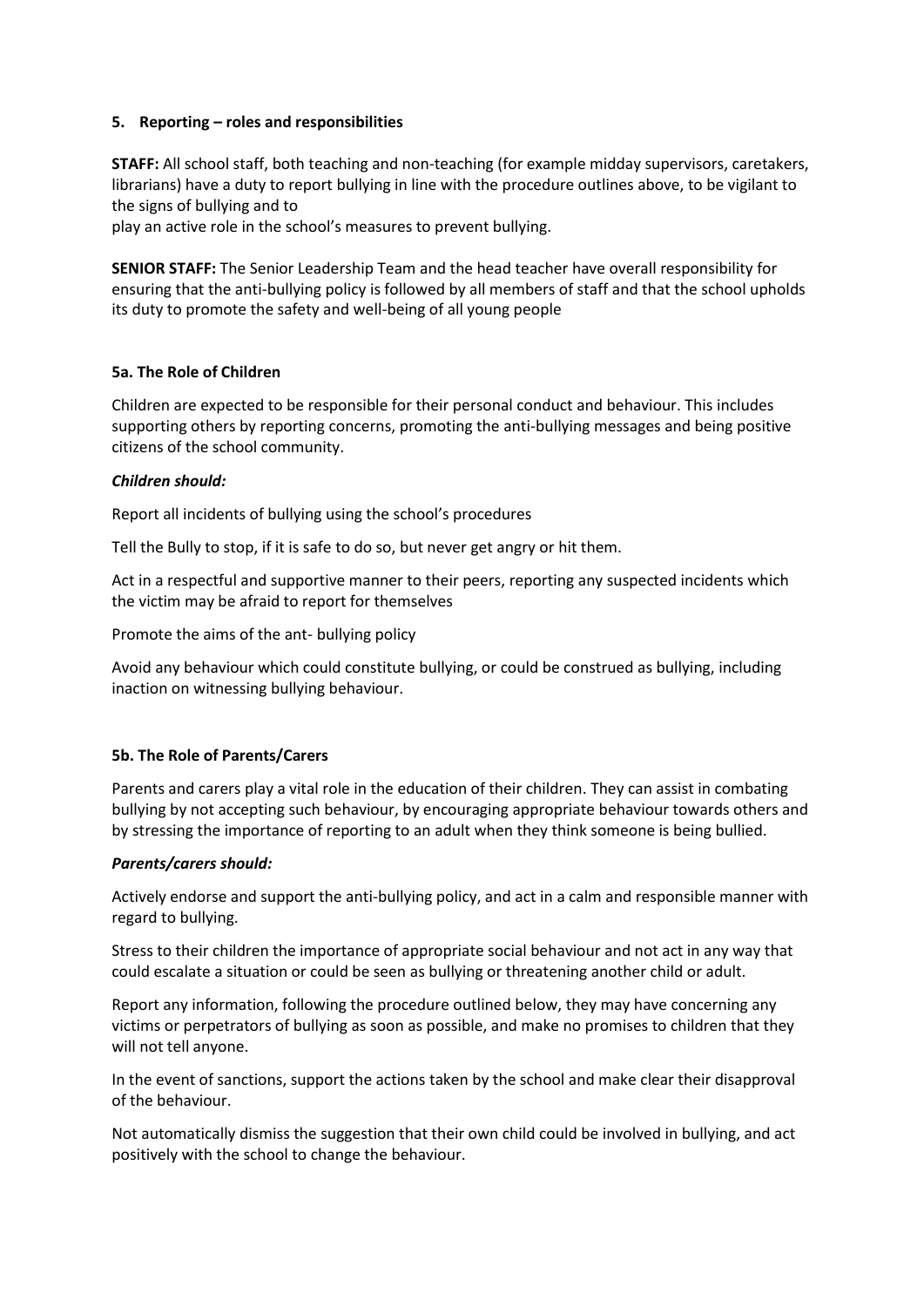#### **5. Reporting – roles and responsibilities**

**STAFF:** All school staff, both teaching and non-teaching (for example midday supervisors, caretakers, librarians) have a duty to report bullying in line with the procedure outlines above, to be vigilant to the signs of bullying and to

play an active role in the school's measures to prevent bullying.

**SENIOR STAFF:** The Senior Leadership Team and the head teacher have overall responsibility for ensuring that the anti-bullying policy is followed by all members of staff and that the school upholds its duty to promote the safety and well-being of all young people

## **5a. The Role of Children**

Children are expected to be responsible for their personal conduct and behaviour. This includes supporting others by reporting concerns, promoting the anti-bullying messages and being positive citizens of the school community.

## *Children should:*

Report all incidents of bullying using the school's procedures

Tell the Bully to stop, if it is safe to do so, but never get angry or hit them.

Act in a respectful and supportive manner to their peers, reporting any suspected incidents which the victim may be afraid to report for themselves

Promote the aims of the ant- bullying policy

Avoid any behaviour which could constitute bullying, or could be construed as bullying, including inaction on witnessing bullying behaviour.

#### **5b. The Role of Parents/Carers**

Parents and carers play a vital role in the education of their children. They can assist in combating bullying by not accepting such behaviour, by encouraging appropriate behaviour towards others and by stressing the importance of reporting to an adult when they think someone is being bullied.

#### *Parents/carers should:*

Actively endorse and support the anti-bullying policy, and act in a calm and responsible manner with regard to bullying.

Stress to their children the importance of appropriate social behaviour and not act in any way that could escalate a situation or could be seen as bullying or threatening another child or adult.

Report any information, following the procedure outlined below, they may have concerning any victims or perpetrators of bullying as soon as possible, and make no promises to children that they will not tell anyone.

In the event of sanctions, support the actions taken by the school and make clear their disapproval of the behaviour.

Not automatically dismiss the suggestion that their own child could be involved in bullying, and act positively with the school to change the behaviour.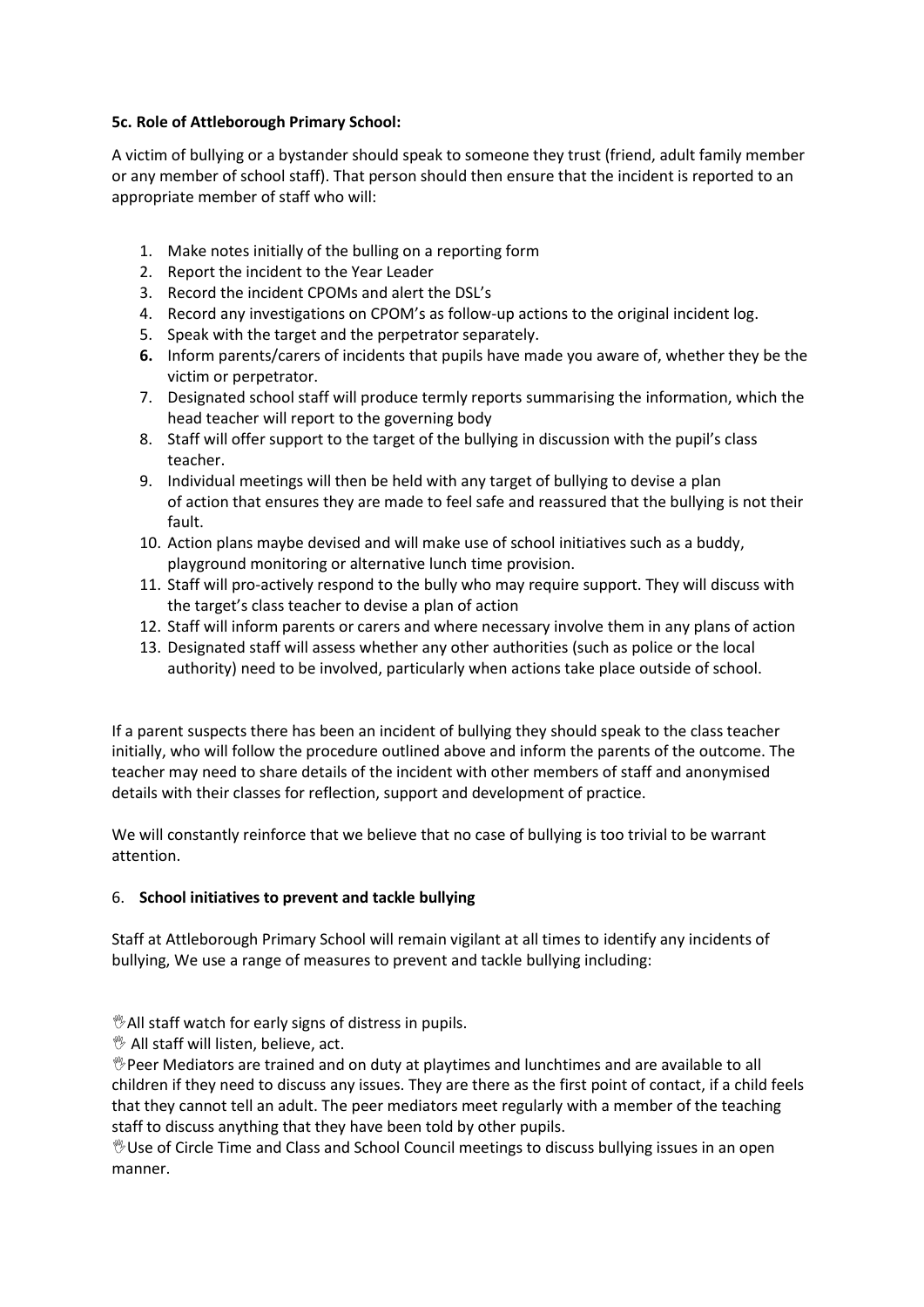## **5c. Role of Attleborough Primary School:**

A victim of bullying or a bystander should speak to someone they trust (friend, adult family member or any member of school staff). That person should then ensure that the incident is reported to an appropriate member of staff who will:

- 1. Make notes initially of the bulling on a reporting form
- 2. Report the incident to the Year Leader
- 3. Record the incident CPOMs and alert the DSL's
- 4. Record any investigations on CPOM's as follow-up actions to the original incident log.
- 5. Speak with the target and the perpetrator separately.
- **6.** Inform parents/carers of incidents that pupils have made you aware of, whether they be the victim or perpetrator.
- 7. Designated school staff will produce termly reports summarising the information, which the head teacher will report to the governing body
- 8. Staff will offer support to the target of the bullying in discussion with the pupil's class teacher.
- 9. Individual meetings will then be held with any target of bullying to devise a plan of action that ensures they are made to feel safe and reassured that the bullying is not their fault.
- 10. Action plans maybe devised and will make use of school initiatives such as a buddy, playground monitoring or alternative lunch time provision.
- 11. Staff will pro-actively respond to the bully who may require support. They will discuss with the target's class teacher to devise a plan of action
- 12. Staff will inform parents or carers and where necessary involve them in any plans of action
- 13. Designated staff will assess whether any other authorities (such as police or the local authority) need to be involved, particularly when actions take place outside of school.

If a parent suspects there has been an incident of bullying they should speak to the class teacher initially, who will follow the procedure outlined above and inform the parents of the outcome. The teacher may need to share details of the incident with other members of staff and anonymised details with their classes for reflection, support and development of practice.

We will constantly reinforce that we believe that no case of bullying is too trivial to be warrant attention.

# 6. **School initiatives to prevent and tackle bullying**

Staff at Attleborough Primary School will remain vigilant at all times to identify any incidents of bullying, We use a range of measures to prevent and tackle bullying including:

All staff watch for early signs of distress in pupils.

 $\mathcal{V}$  All staff will listen, believe, act.

 $\mathcal P$ Peer Mediators are trained and on duty at playtimes and lunchtimes and are available to all children if they need to discuss any issues. They are there as the first point of contact, if a child feels that they cannot tell an adult. The peer mediators meet regularly with a member of the teaching staff to discuss anything that they have been told by other pupils.

Use of Circle Time and Class and School Council meetings to discuss bullying issues in an open manner.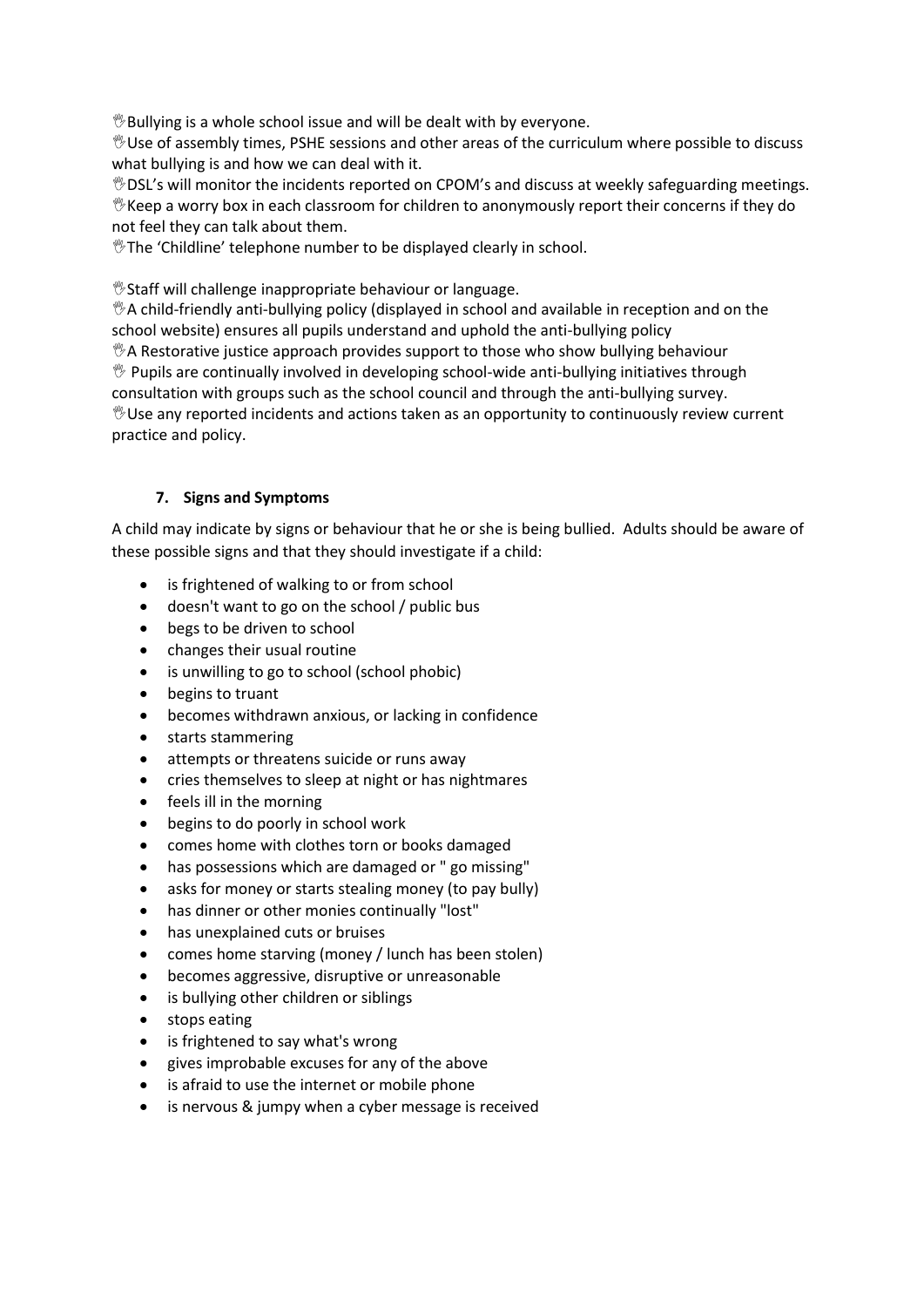$\mathcal{B}$ Bullying is a whole school issue and will be dealt with by everyone.

Use of assembly times, PSHE sessions and other areas of the curriculum where possible to discuss what bullying is and how we can deal with it.

DSL's will monitor the incidents reported on CPOM's and discuss at weekly safeguarding meetings.  $\mathcal V$  Keep a worry box in each classroom for children to anonymously report their concerns if they do not feel they can talk about them.

*If* The 'Childline' telephone number to be displayed clearly in school.

Staff will challenge inappropriate behaviour or language.

 $\mathcal{A}$  child-friendly anti-bullying policy (displayed in school and available in reception and on the school website) ensures all pupils understand and uphold the anti-bullying policy  $\mathcal{A}$  Restorative justice approach provides support to those who show bullying behaviour  $\mathcal V$  Pupils are continually involved in developing school-wide anti-bullying initiatives through consultation with groups such as the school council and through the anti-bullying survey.  $\mathcal V$ Use any reported incidents and actions taken as an opportunity to continuously review current practice and policy.

# **7. Signs and Symptoms**

A child may indicate by signs or behaviour that he or she is being bullied. Adults should be aware of these possible signs and that they should investigate if a child:

- is frightened of walking to or from school
- doesn't want to go on the school / public bus
- begs to be driven to school
- changes their usual routine
- is unwilling to go to school (school phobic)
- begins to truant
- becomes withdrawn anxious, or lacking in confidence
- starts stammering
- attempts or threatens suicide or runs away
- cries themselves to sleep at night or has nightmares
- feels ill in the morning
- begins to do poorly in school work
- comes home with clothes torn or books damaged
- has possessions which are damaged or " go missing"
- asks for money or starts stealing money (to pay bully)
- has dinner or other monies continually "lost"
- has unexplained cuts or bruises
- comes home starving (money / lunch has been stolen)
- becomes aggressive, disruptive or unreasonable
- is bullying other children or siblings
- stops eating
- is frightened to say what's wrong
- gives improbable excuses for any of the above
- is afraid to use the internet or mobile phone
- is nervous & jumpy when a cyber message is received